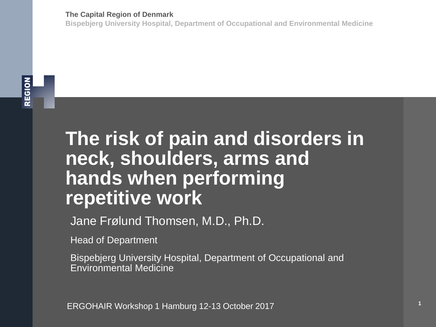**Bispebjerg University Hospital, Department of Occupational and Environmental Medicine**

# **The risk of pain and disorders in neck, shoulders, arms and hands when performing repetitive work**

Jane Frølund Thomsen, M.D., Ph.D.

Head of Department

Bispebjerg University Hospital, Department of Occupational and Environmental Medicine

ERGOHAIR Workshop 1 Hamburg 12-13 October 2017 **<sup>1</sup>**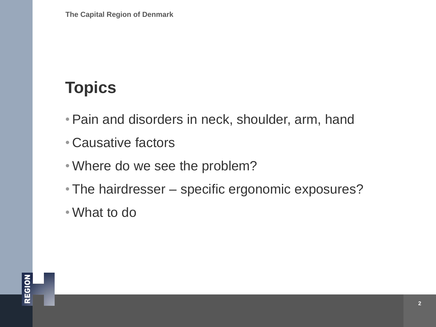#### **Topics**

- Pain and disorders in neck, shoulder, arm, hand
- Causative factors
- Where do we see the problem?
- The hairdresser specific ergonomic exposures?
- What to do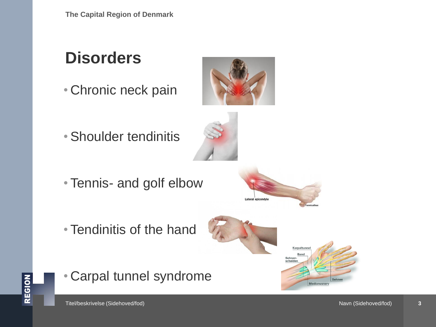

Titel/beskrivelse (Sidehoved/fod) Navn (Sidehoved/fod) **3**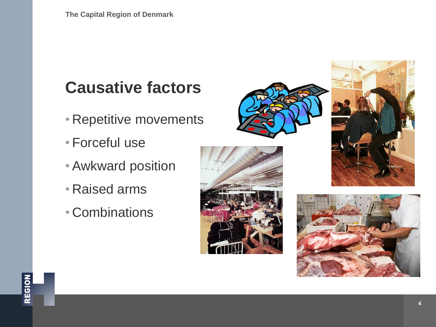### **Causative factors**

- Repetitive movements
- Forceful use
- Awkward position
- Raised arms
- Combinations









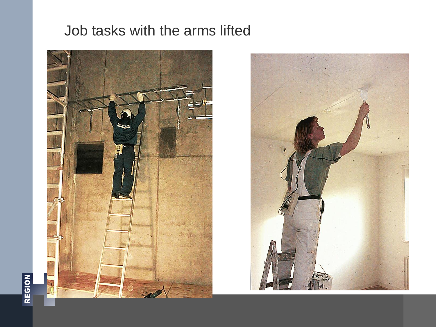#### Job tasks with the arms lifted





# REGION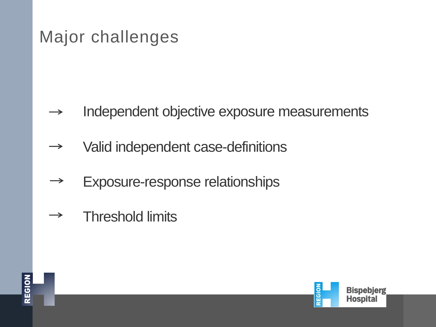### Major challenges

- Independent objective exposure measurements  $\rightarrow$
- Valid independent case-definitions  $\rightarrow$
- $\rightarrow$ Exposure-response relationships
- Threshold limits  $\rightarrow$



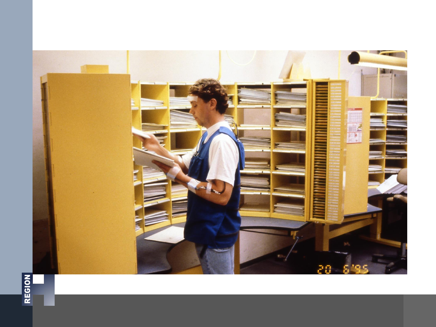

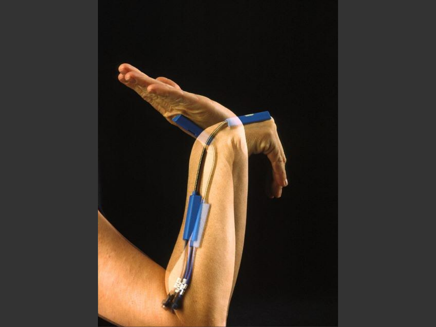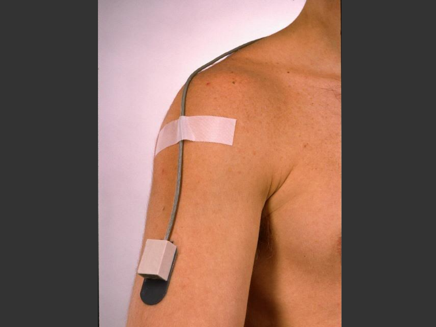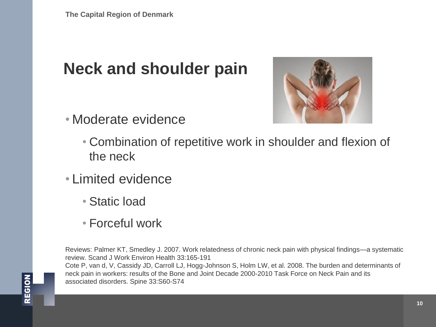### **Neck and shoulder pain**



- Moderate evidence
	- Combination of repetitive work in shoulder and flexion of the neck
- Limited evidence
	- Static load
	- Forceful work

Reviews: Palmer KT, Smedley J. 2007. Work relatedness of chronic neck pain with physical findings—a systematic review. Scand J Work Environ Health 33:165-191

Cote P, van d, V, Cassidy JD, Carroll LJ, Hogg-Johnson S, Holm LW, et al. 2008. The burden and determinants of neck pain in workers: results of the Bone and Joint Decade 2000-2010 Task Force on Neck Pain and its associated disorders. Spine 33:S60-S74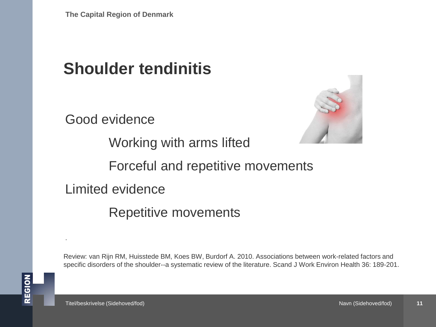### **Shoulder tendinitis**

Good evidence



Working with arms lifted

Forceful and repetitive movements

Limited evidence

Repetitive movements

Review: van Rijn RM, Huisstede BM, Koes BW, Burdorf A. 2010. Associations between work-related factors and specific disorders of the shoulder--a systematic review of the literature. Scand J Work Environ Health 36: 189-201.

.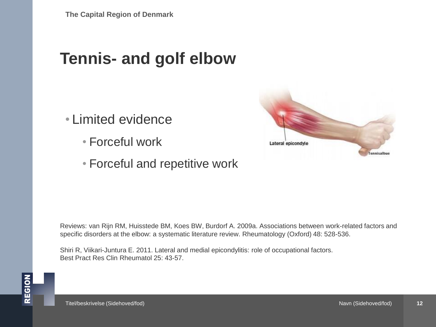#### **Tennis- and golf elbow**

- Limited evidence
	- Forceful work
	- Forceful and repetitive work



Reviews: van Rijn RM, Huisstede BM, Koes BW, Burdorf A. 2009a. Associations between work-related factors and specific disorders at the elbow: a systematic literature review. Rheumatology (Oxford) 48: 528-536.

Shiri R, Viikari-Juntura E. 2011. Lateral and medial epicondylitis: role of occupational factors. Best Pract Res Clin Rheumatol 25: 43-57.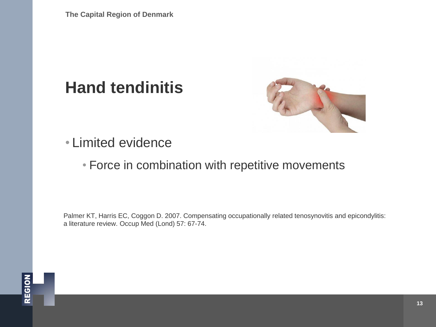#### **Hand tendinitis**



- Limited evidence
	- Force in combination with repetitive movements

Palmer KT, Harris EC, Coggon D. 2007. Compensating occupationally related tenosynovitis and epicondylitis: a literature review. Occup Med (Lond) 57: 67-74.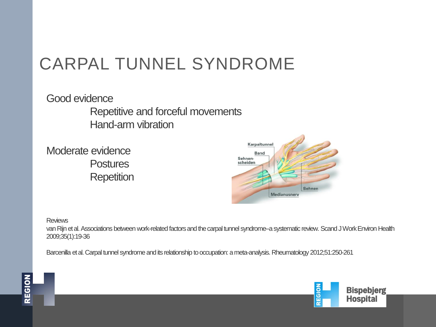# CARPAL TUNNEL SYNDROME

Good evidence Repetitive and forceful movements Hand-arm vibration

Moderate evidence **Postures Repetition** 



**Reviews** 

van Rijn et al. Associations between work-related factors and the carpal tunnel syndrome--a systematic review. Scand J Work Environ Health 2009;35(1):19-36

Barcenilla et al. Carpal tunnel syndrome and its relationship to occupation: a meta-analysis. Rheumatology 2012;51:250-261

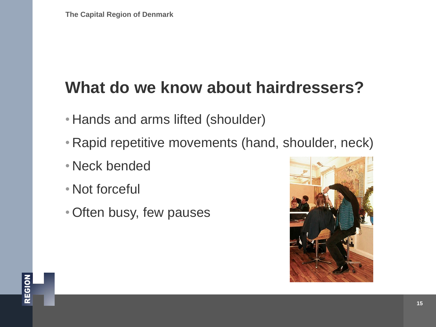#### **What do we know about hairdressers?**

- Hands and arms lifted (shoulder)
- Rapid repetitive movements (hand, shoulder, neck)
- Neck bended
- Not forceful
- Often busy, few pauses

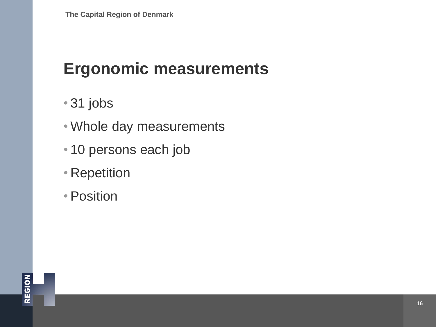#### **Ergonomic measurements**

- 31 jobs
- Whole day measurements
- 10 persons each job
- Repetition
- Position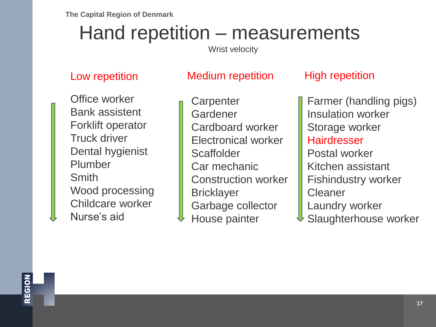## Hand repetition – measurements

Wrist velocity

Low repetition **Medium repetition** High repetition

Office worker Bank assistent Forklift operator Truck driver Dental hygienist Plumber Smith Wood processing Childcare worker Nurse's aid

**Carpenter Gardener** Cardboard worker Electronical worker Scaffolder Car mechanic Construction worker **Bricklayer** Garbage collector House painter

Farmer (handling pigs) Insulation worker Storage worker **Hairdresser** Postal worker Kitchen assistant Fishindustry worker

- Cleaner
- Laundry worker
- Slaughterhouse worker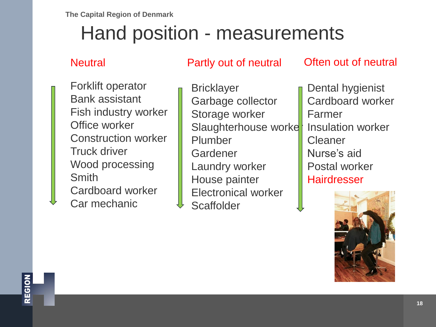# Hand position - measurements

#### Forklift operator Bank assistant Fish industry worker Office worker Construction worker Truck driver Wood processing Smith Cardboard worker Car mechanic

**Bricklayer** Garbage collector Storage worker Slaughterhouse worke Plumber Gardener Laundry worker House painter Electronical worker **Scaffolder** 

Neutral Partly out of neutral Often out of neutral

Dental hygienist Cardboard worker Farmer Insulation worker **Cleaner** Nurse's aid Postal worker **Hairdresser** 



REGION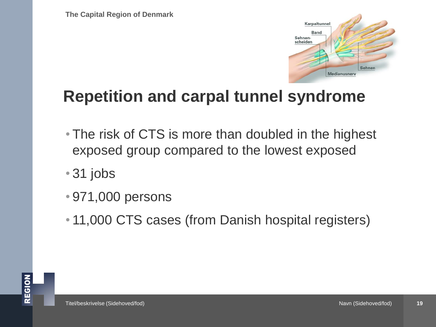

#### **Repetition and carpal tunnel syndrome**

- The risk of CTS is more than doubled in the highest exposed group compared to the lowest exposed
- 31 jobs
- 971,000 persons
- 11,000 CTS cases (from Danish hospital registers)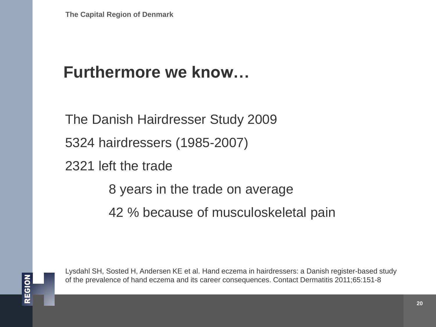#### **Furthermore we know…**

The Danish Hairdresser Study 2009 5324 hairdressers (1985-2007) 2321 left the trade 8 years in the trade on average

42 % because of musculoskeletal pain



Lysdahl SH, Sosted H, Andersen KE et al. Hand eczema in hairdressers: a Danish register-based study of the prevalence of hand eczema and its career consequences. Contact Dermatitis 2011;65:151-8